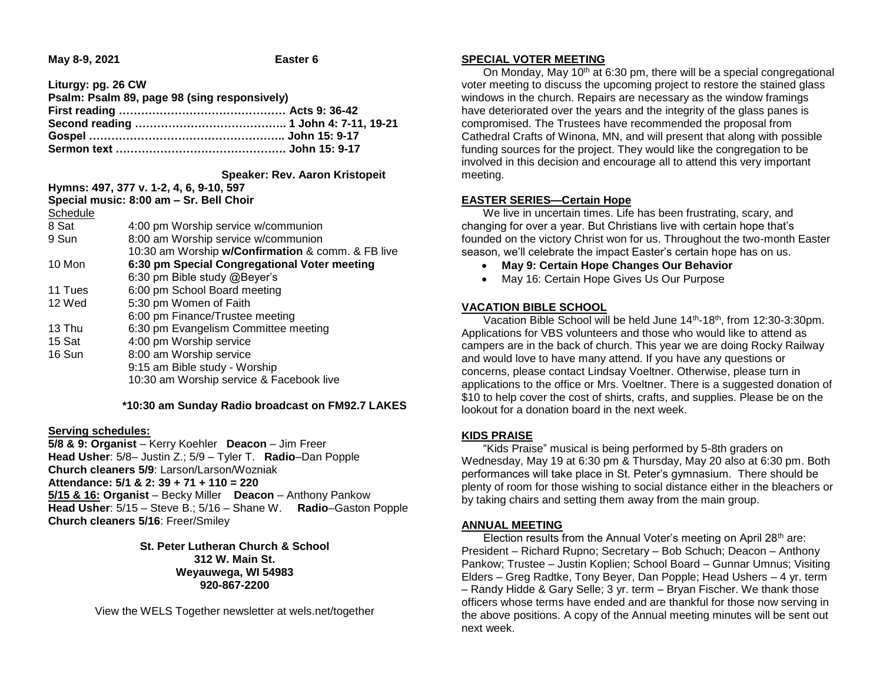**May 8-9, 2021 Easter 6**

**Liturgy: pg. 26 CW**

| Psalm: Psalm 89, page 98 (sing responsively) |  |
|----------------------------------------------|--|
|                                              |  |
|                                              |  |
|                                              |  |
|                                              |  |

#### **Speaker: Rev. Aaron Kristopeit**

**Hymns: 497, 377 v. 1-2, 4, 6, 9-10, 597 Special music: 8:00 am – Sr. Bell Choir**

| Schedule |                                                   |
|----------|---------------------------------------------------|
| 8 Sat    | 4:00 pm Worship service w/communion               |
| 9 Sun    | 8:00 am Worship service w/communion               |
|          | 10:30 am Worship w/Confirmation & comm. & FB live |
| 10 Mon   | 6:30 pm Special Congregational Voter meeting      |
|          | 6:30 pm Bible study @Beyer's                      |
| 11 Tues  | 6:00 pm School Board meeting                      |
| 12 Wed   | 5:30 pm Women of Faith                            |
|          | 6:00 pm Finance/Trustee meeting                   |
| 13 Thu   | 6:30 pm Evangelism Committee meeting              |
| 15 Sat   | 4:00 pm Worship service                           |
| 16 Sun   | 8:00 am Worship service                           |
|          | 9:15 am Bible study - Worship                     |
|          | 10:30 am Worship service & Facebook live          |
|          |                                                   |

#### **\*10:30 am Sunday Radio broadcast on FM92.7 LAKES**

#### **Serving schedules:**

**5/8 & 9: Organist** – Kerry Koehler **Deacon** – Jim Freer **Head Usher**: 5/8– Justin Z.; 5/9 – Tyler T. **Radio**–Dan Popple **Church cleaners 5/9**: Larson/Larson/Wozniak **Attendance: 5/1 & 2: 39 + 71 + 110 = 220 5/15 & 16: Organist** – Becky Miller **Deacon** – Anthony Pankow **Head Usher**: 5/15 – Steve B.; 5/16 – Shane W. **Radio**–Gaston Popple **Church cleaners 5/16**: Freer/Smiley

> **St. Peter Lutheran Church & School 312 W. Main St. Weyauwega, WI 54983 920-867-2200**

View the WELS Together newsletter at wels.net/together

# **SPECIAL VOTER MEETING**

On Monday, May 10<sup>th</sup> at 6:30 pm, there will be a special congregational voter meeting to discuss the upcoming project to restore the stained glass windows in the church. Repairs are necessary as the window framings have deteriorated over the years and the integrity of the glass panes is compromised. The Trustees have recommended the proposal from Cathedral Crafts of Winona, MN, and will present that along with possible funding sources for the project. They would like the congregation to be involved in this decision and encourage all to attend this very important meeting.

# **EASTER SERIES—Certain Hope**

 We live in uncertain times. Life has been frustrating, scary, and changing for over a year. But Christians live with certain hope that's founded on the victory Christ won for us. Throughout the two-month Easter season, we'll celebrate the impact Easter's certain hope has on us.

- **May 9: Certain Hope Changes Our Behavior**
- May 16: Certain Hope Gives Us Our Purpose

# **VACATION BIBLE SCHOOL**

 Vacation Bible School will be held June 14th-18th, from 12:30-3:30pm. Applications for VBS volunteers and those who would like to attend as campers are in the back of church. This year we are doing Rocky Railway and would love to have many attend. If you have any questions or concerns, please contact Lindsay Voeltner. Otherwise, please turn in applications to the office or Mrs. Voeltner. There is a suggested donation of \$10 to help cover the cost of shirts, crafts, and supplies. Please be on the lookout for a donation board in the next week.

# **KIDS PRAISE**

 "Kids Praise" musical is being performed by 5-8th graders on Wednesday, May 19 at 6:30 pm & Thursday, May 20 also at 6:30 pm. Both performances will take place in St. Peter's gymnasium. There should be plenty of room for those wishing to social distance either in the bleachers or by taking chairs and setting them away from the main group.

# **ANNUAL MEETING**

Election results from the Annual Voter's meeting on April 28<sup>th</sup> are: President – Richard Rupno; Secretary – Bob Schuch; Deacon – Anthony Pankow; Trustee – Justin Koplien; School Board – Gunnar Umnus; Visiting Elders – Greg Radtke, Tony Beyer, Dan Popple; Head Ushers – 4 yr. term – Randy Hidde & Gary Selle; 3 yr. term – Bryan Fischer. We thank those officers whose terms have ended and are thankful for those now serving in the above positions. A copy of the Annual meeting minutes will be sent out next week.